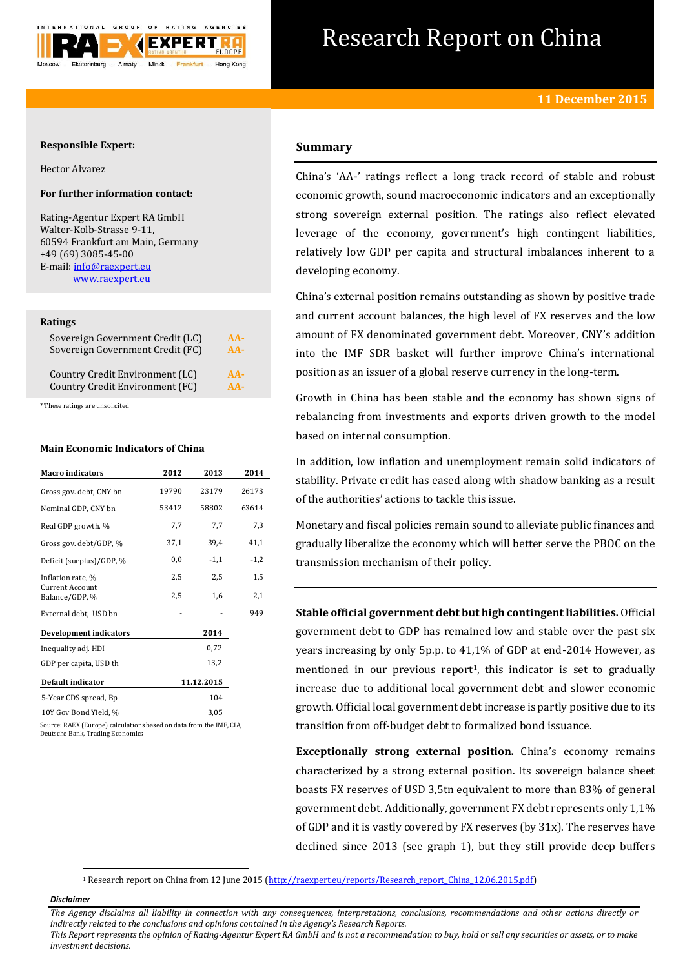

# Research Report on China

## **Responsible Expert:**

Hector Alvarez

# **For further information contact:**

Rating-Agentur Expert RA GmbH Walter-Kolb-Strasse 9-11, 60594 Frankfurt am Main, Germany +49 (69) 3085-45-00 E-mail[: info@raexpert.eu](mailto:info@raexpert.eu) [www.raexpert.eu](http://raexpert.eu/)

#### **Ratings**

| Sovereign Government Credit (LC) | $AA -$ |
|----------------------------------|--------|
| Sovereign Government Credit (FC) | $AA-$  |
| Country Credit Environment (LC)  | $AA-$  |
| Country Credit Environment (FC)  | $AA-$  |

\* These ratings are unsolicited

### **Main Economic Indicators of China**

| <b>Macro</b> indicators                                             | 2012  | 2013       | 2014   |
|---------------------------------------------------------------------|-------|------------|--------|
| Gross gov. debt, CNY bn                                             | 19790 | 23179      | 26173  |
| Nominal GDP, CNY bn                                                 | 53412 | 58802      | 63614  |
| Real GDP growth, %                                                  | 7,7   | 7,7        | 7,3    |
| Gross gov. debt/GDP, %                                              | 37,1  | 39,4       | 41,1   |
| Deficit (surplus)/GDP, %                                            | 0,0   | $-1,1$     | $-1,2$ |
| Inflation rate, %                                                   | 2,5   | 2,5        | 1,5    |
| <b>Current Account</b><br>Balance/GDP, %                            | 2,5   | 1,6        | 2,1    |
| External debt, USD bn                                               |       |            | 949    |
| <b>Development indicators</b>                                       |       | 2014       |        |
| Inequality adj. HDI                                                 |       | 0,72       |        |
| GDP per capita, USD th                                              |       | 13,2       |        |
| Default indicator                                                   |       | 11.12.2015 |        |
| 5-Year CDS spread, Bp                                               |       | 104        |        |
| 10Y Gov Bond Yield, %                                               |       | 3.05       |        |
| Source: RAEX (Europe) calculations based on data from the IME. CIA. |       |            |        |

Source: RAEX (Europe) calculations based on data from the IMF, CIA, Deutsche Bank, Trading Economics

# **Summary**

China's 'AA-' ratings reflect a long track record of stable and robust economic growth, sound macroeconomic indicators and an exceptionally strong sovereign external position. The ratings also reflect elevated leverage of the economy, government's high contingent liabilities, relatively low GDP per capita and structural imbalances inherent to a developing economy.

China's external position remains outstanding as shown by positive trade and current account balances, the high level of FX reserves and the low amount of FX denominated government debt. Moreover, CNY's addition into the IMF SDR basket will further improve China's international position as an issuer of a global reserve currency in the long-term.

Growth in China has been stable and the economy has shown signs of rebalancing from investments and exports driven growth to the model based on internal consumption.

In addition, low inflation and unemployment remain solid indicators of stability. Private credit has eased along with shadow banking as a result of the authorities' actions to tackle this issue.

Monetary and fiscal policies remain sound to alleviate public finances and gradually liberalize the economy which will better serve the PBOC on the transmission mechanism of their policy.

**Stable official government debt but high contingent liabilities.** Official government debt to GDP has remained low and stable over the past six years increasing by only 5p.p. to 41,1% of GDP at end-2014 However, as mentioned in our previous report<sup>1</sup>, this indicator is set to gradually increase due to additional local government debt and slower economic growth. Official local government debt increase is partly positive due to its transition from off-budget debt to formalized bond issuance.

**Exceptionally strong external position.** China's economy remains characterized by a strong external position. Its sovereign balance sheet boasts FX reserves of USD 3,5tn equivalent to more than 83% of general government debt. Additionally, government FX debt represents only 1,1% of GDP and it is vastly covered by FX reserves (by 31x). The reserves have declined since 2013 (see graph 1), but they still provide deep buffers

<sup>1</sup> Research report on China from 12 June 2015 [\(http://raexpert.eu/reports/Research\\_report\\_China\\_12.06.2015.pdf\)](http://raexpert.eu/reports/Research_report_China_12.06.2015.pdf)

*Disclaimer* 

1

*The Agency disclaims all liability in connection with any consequences, interpretations, conclusions, recommendations and other actions directly or indirectly related to the conclusions and opinions contained in the Agency's Research Reports. This Report represents the opinion of Rating-Agentur Expert RA GmbH and is not a recommendation to buy, hold or sell any securities or assets, or to make* 

*investment decisions.*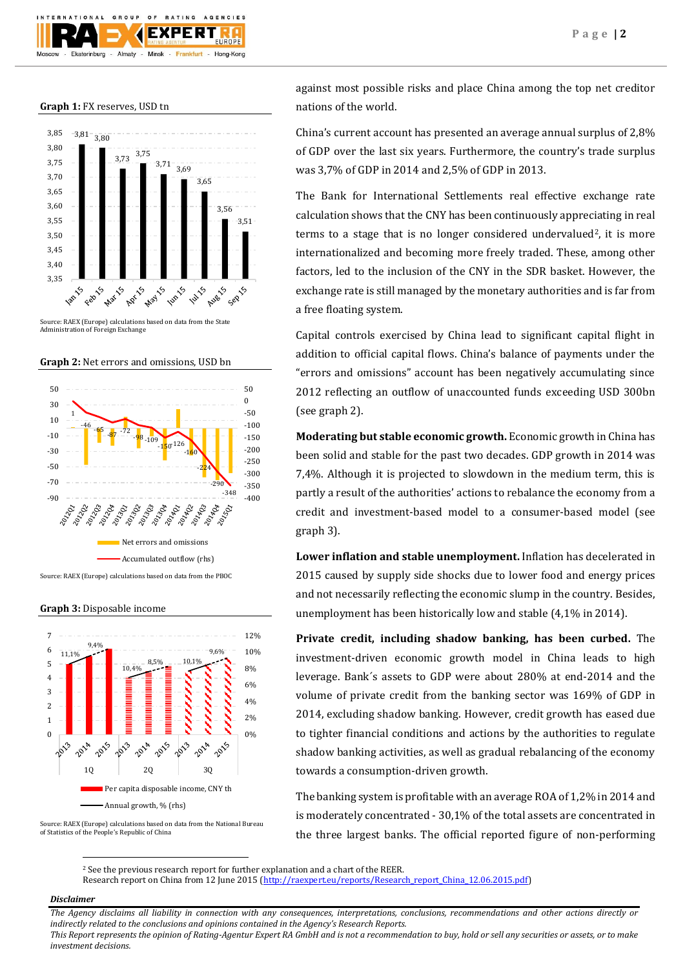

**Graph 1:** FX reserves, USD tn





**Graph 2:** Net errors and omissions, USD bn





Source: RAEX (Europe) calculations based on data from the National Bureau of Statistics of the People's Republic of China

against most possible risks and place China among the top net creditor nations of the world.

China's current account has presented an average annual surplus of 2,8% of GDP over the last six years. Furthermore, the country's trade surplus was 3,7% of GDP in 2014 and 2,5% of GDP in 2013.

The Bank for International Settlements real effective exchange rate calculation shows that the CNY has been continuously appreciating in real terms to a stage that is no longer considered undervalued<sup>2</sup>, it is more internationalized and becoming more freely traded. These, among other factors, led to the inclusion of the CNY in the SDR basket. However, the exchange rate is still managed by the monetary authorities and is far from a free floating system.

Capital controls exercised by China lead to significant capital flight in addition to official capital flows. China's balance of payments under the "errors and omissions" account has been negatively accumulating since 2012 reflecting an outflow of unaccounted funds exceeding USD 300bn (see graph 2).

**Moderating but stable economic growth.** Economic growth in China has been solid and stable for the past two decades. GDP growth in 2014 was 7,4%. Although it is projected to slowdown in the medium term, this is partly a result of the authorities' actions to rebalance the economy from a credit and investment-based model to a consumer-based model (see graph 3).

**Lower inflation and stable unemployment.** Inflation has decelerated in 2015 caused by supply side shocks due to lower food and energy prices and not necessarily reflecting the economic slump in the country. Besides, unemployment has been historically low and stable (4,1% in 2014).

**Private credit, including shadow banking, has been curbed.** The investment-driven economic growth model in China leads to high leverage. Bank´s assets to GDP were about 280% at end-2014 and the volume of private credit from the banking sector was 169% of GDP in 2014, excluding shadow banking. However, credit growth has eased due to tighter financial conditions and actions by the authorities to regulate shadow banking activities, as well as gradual rebalancing of the economy towards a consumption-driven growth.

The banking system is profitable with an average ROA of 1,2% in 2014 and is moderately concentrated - 30,1% of the total assets are concentrated in the three largest banks. The official reported figure of non-performing

 $\overline{a}$ <sup>2</sup> See the previous research report for further explanation and a chart of the REER.

Research report on China from 12 June 2015 [\(http://raexpert.eu/reports/Research\\_report\\_China\\_12.06.2015.pdf\)](http://raexpert.eu/reports/Research_report_China_12.06.2015.pdf)

### *Disclaimer*

*The Agency disclaims all liability in connection with any consequences, interpretations, conclusions, recommendations and other actions directly or indirectly related to the conclusions and opinions contained in the Agency's Research Reports.*

*This Report represents the opinion of Rating-Agentur Expert RA GmbH and is not a recommendation to buy, hold or sell any securities or assets, or to make investment decisions.*